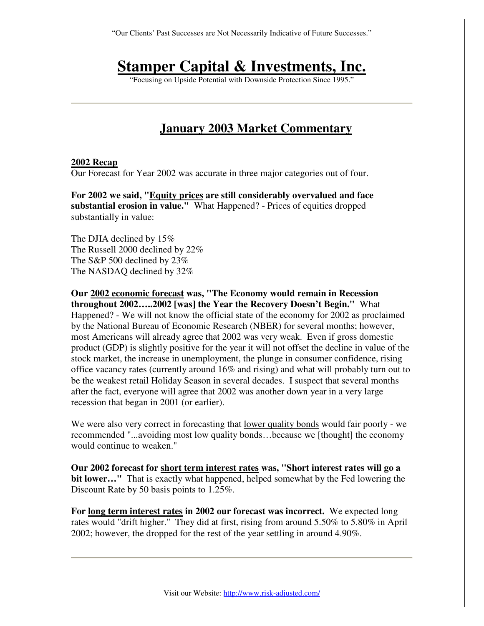"Our Clients' Past Successes are Not Necessarily Indicative of Future Successes."

## **Stamper Capital & Investments, Inc.**

"Focusing on Upside Potential with Downside Protection Since 1995."

## **January 2003 Market Commentary**

## **2002 Recap**

Our Forecast for Year 2002 was accurate in three major categories out of four.

**For 2002 we said, "Equity prices are still considerably overvalued and face substantial erosion in value."** What Happened? - Prices of equities dropped substantially in value:

The DJIA declined by 15% The Russell 2000 declined by 22% The S&P 500 declined by 23% The NASDAQ declined by 32%

**Our 2002 economic forecast was, "The Economy would remain in Recession throughout 2002…..2002 [was] the Year the Recovery Doesn't Begin."** What Happened? - We will not know the official state of the economy for 2002 as proclaimed by the National Bureau of Economic Research (NBER) for several months; however, most Americans will already agree that 2002 was very weak. Even if gross domestic product (GDP) is slightly positive for the year it will not offset the decline in value of the stock market, the increase in unemployment, the plunge in consumer confidence, rising office vacancy rates (currently around 16% and rising) and what will probably turn out to be the weakest retail Holiday Season in several decades. I suspect that several months after the fact, everyone will agree that 2002 was another down year in a very large recession that began in 2001 (or earlier).

We were also very correct in forecasting that <u>lower quality bonds</u> would fair poorly - we recommended "...avoiding most low quality bonds…because we [thought] the economy would continue to weaken."

**Our 2002 forecast for short term interest rates was, "Short interest rates will go a bit lower…"** That is exactly what happened, helped somewhat by the Fed lowering the Discount Rate by 50 basis points to 1.25%.

**For long term interest rates in 2002 our forecast was incorrect.** We expected long rates would "drift higher." They did at first, rising from around 5.50% to 5.80% in April 2002; however, the dropped for the rest of the year settling in around 4.90%.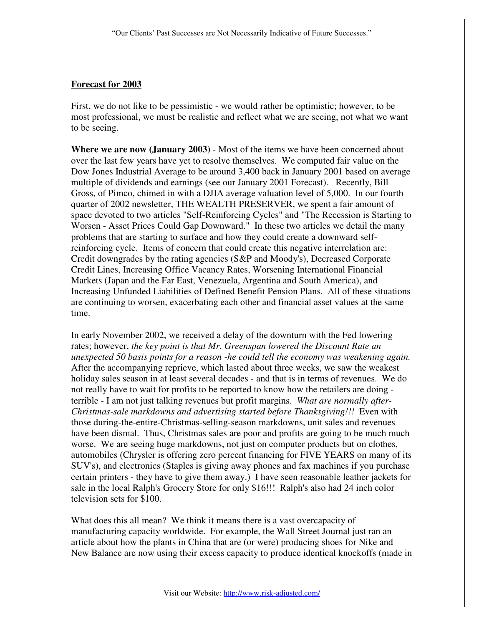## **Forecast for 2003**

First, we do not like to be pessimistic - we would rather be optimistic; however, to be most professional, we must be realistic and reflect what we are seeing, not what we want to be seeing.

**Where we are now (January 2003)** - Most of the items we have been concerned about over the last few years have yet to resolve themselves. We computed fair value on the Dow Jones Industrial Average to be around 3,400 back in January 2001 based on average multiple of dividends and earnings (see our January 2001 Forecast). Recently, Bill Gross, of Pimco, chimed in with a DJIA average valuation level of 5,000. In our fourth quarter of 2002 newsletter, THE WEALTH PRESERVER, we spent a fair amount of space devoted to two articles "Self-Reinforcing Cycles" and "The Recession is Starting to Worsen - Asset Prices Could Gap Downward." In these two articles we detail the many problems that are starting to surface and how they could create a downward selfreinforcing cycle. Items of concern that could create this negative interrelation are: Credit downgrades by the rating agencies (S&P and Moody's), Decreased Corporate Credit Lines, Increasing Office Vacancy Rates, Worsening International Financial Markets (Japan and the Far East, Venezuela, Argentina and South America), and Increasing Unfunded Liabilities of Defined Benefit Pension Plans. All of these situations are continuing to worsen, exacerbating each other and financial asset values at the same time.

In early November 2002, we received a delay of the downturn with the Fed lowering rates; however, *the key point is that Mr. Greenspan lowered the Discount Rate an unexpected 50 basis points for a reason -he could tell the economy was weakening again.*  After the accompanying reprieve, which lasted about three weeks, we saw the weakest holiday sales season in at least several decades - and that is in terms of revenues. We do not really have to wait for profits to be reported to know how the retailers are doing terrible - I am not just talking revenues but profit margins. *What are normally after-Christmas-sale markdowns and advertising started before Thanksgiving!!!* Even with those during-the-entire-Christmas-selling-season markdowns, unit sales and revenues have been dismal. Thus, Christmas sales are poor and profits are going to be much much worse. We are seeing huge markdowns, not just on computer products but on clothes, automobiles (Chrysler is offering zero percent financing for FIVE YEARS on many of its SUV's), and electronics (Staples is giving away phones and fax machines if you purchase certain printers - they have to give them away.) I have seen reasonable leather jackets for sale in the local Ralph's Grocery Store for only \$16!!! Ralph's also had 24 inch color television sets for \$100.

What does this all mean? We think it means there is a vast overcapacity of manufacturing capacity worldwide. For example, the Wall Street Journal just ran an article about how the plants in China that are (or were) producing shoes for Nike and New Balance are now using their excess capacity to produce identical knockoffs (made in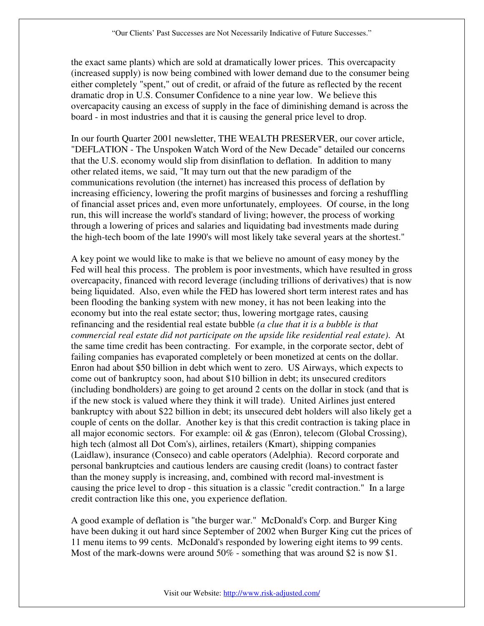the exact same plants) which are sold at dramatically lower prices. This overcapacity (increased supply) is now being combined with lower demand due to the consumer being either completely "spent," out of credit, or afraid of the future as reflected by the recent dramatic drop in U.S. Consumer Confidence to a nine year low. We believe this overcapacity causing an excess of supply in the face of diminishing demand is across the board - in most industries and that it is causing the general price level to drop.

In our fourth Quarter 2001 newsletter, THE WEALTH PRESERVER, our cover article, "DEFLATION - The Unspoken Watch Word of the New Decade" detailed our concerns that the U.S. economy would slip from disinflation to deflation. In addition to many other related items, we said, "It may turn out that the new paradigm of the communications revolution (the internet) has increased this process of deflation by increasing efficiency, lowering the profit margins of businesses and forcing a reshuffling of financial asset prices and, even more unfortunately, employees. Of course, in the long run, this will increase the world's standard of living; however, the process of working through a lowering of prices and salaries and liquidating bad investments made during the high-tech boom of the late 1990's will most likely take several years at the shortest."

A key point we would like to make is that we believe no amount of easy money by the Fed will heal this process. The problem is poor investments, which have resulted in gross overcapacity, financed with record leverage (including trillions of derivatives) that is now being liquidated. Also, even while the FED has lowered short term interest rates and has been flooding the banking system with new money, it has not been leaking into the economy but into the real estate sector; thus, lowering mortgage rates, causing refinancing and the residential real estate bubble *(a clue that it is a bubble is that commercial real estate did not participate on the upside like residential real estate)*. At the same time credit has been contracting. For example, in the corporate sector, debt of failing companies has evaporated completely or been monetized at cents on the dollar. Enron had about \$50 billion in debt which went to zero. US Airways, which expects to come out of bankruptcy soon, had about \$10 billion in debt; its unsecured creditors (including bondholders) are going to get around 2 cents on the dollar in stock (and that is if the new stock is valued where they think it will trade). United Airlines just entered bankruptcy with about \$22 billion in debt; its unsecured debt holders will also likely get a couple of cents on the dollar. Another key is that this credit contraction is taking place in all major economic sectors. For example: oil  $\&$  gas (Enron), telecom (Global Crossing), high tech (almost all Dot Com's), airlines, retailers (Kmart), shipping companies (Laidlaw), insurance (Conseco) and cable operators (Adelphia). Record corporate and personal bankruptcies and cautious lenders are causing credit (loans) to contract faster than the money supply is increasing, and, combined with record mal-investment is causing the price level to drop - this situation is a classic "credit contraction." In a large credit contraction like this one, you experience deflation.

A good example of deflation is "the burger war." McDonald's Corp. and Burger King have been duking it out hard since September of 2002 when Burger King cut the prices of 11 menu items to 99 cents. McDonald's responded by lowering eight items to 99 cents. Most of the mark-downs were around 50% - something that was around \$2 is now \$1.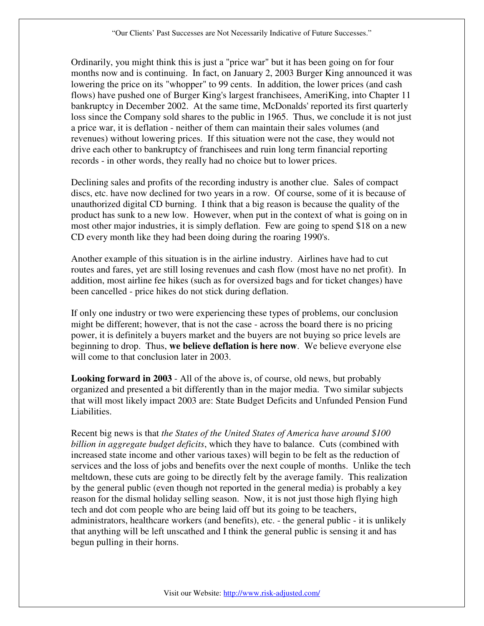Ordinarily, you might think this is just a "price war" but it has been going on for four months now and is continuing. In fact, on January 2, 2003 Burger King announced it was lowering the price on its "whopper" to 99 cents. In addition, the lower prices (and cash flows) have pushed one of Burger King's largest franchisees, AmeriKing, into Chapter 11 bankruptcy in December 2002. At the same time, McDonalds' reported its first quarterly loss since the Company sold shares to the public in 1965. Thus, we conclude it is not just a price war, it is deflation - neither of them can maintain their sales volumes (and revenues) without lowering prices. If this situation were not the case, they would not drive each other to bankruptcy of franchisees and ruin long term financial reporting records - in other words, they really had no choice but to lower prices.

Declining sales and profits of the recording industry is another clue. Sales of compact discs, etc. have now declined for two years in a row. Of course, some of it is because of unauthorized digital CD burning. I think that a big reason is because the quality of the product has sunk to a new low. However, when put in the context of what is going on in most other major industries, it is simply deflation. Few are going to spend \$18 on a new CD every month like they had been doing during the roaring 1990's.

Another example of this situation is in the airline industry. Airlines have had to cut routes and fares, yet are still losing revenues and cash flow (most have no net profit). In addition, most airline fee hikes (such as for oversized bags and for ticket changes) have been cancelled - price hikes do not stick during deflation.

If only one industry or two were experiencing these types of problems, our conclusion might be different; however, that is not the case - across the board there is no pricing power, it is definitely a buyers market and the buyers are not buying so price levels are beginning to drop. Thus, **we believe deflation is here now**. We believe everyone else will come to that conclusion later in 2003.

**Looking forward in 2003** - All of the above is, of course, old news, but probably organized and presented a bit differently than in the major media. Two similar subjects that will most likely impact 2003 are: State Budget Deficits and Unfunded Pension Fund Liabilities.

Recent big news is that *the States of the United States of America have around \$100 billion in aggregate budget deficits*, which they have to balance. Cuts (combined with increased state income and other various taxes) will begin to be felt as the reduction of services and the loss of jobs and benefits over the next couple of months. Unlike the tech meltdown, these cuts are going to be directly felt by the average family. This realization by the general public (even though not reported in the general media) is probably a key reason for the dismal holiday selling season. Now, it is not just those high flying high tech and dot com people who are being laid off but its going to be teachers, administrators, healthcare workers (and benefits), etc. - the general public - it is unlikely that anything will be left unscathed and I think the general public is sensing it and has begun pulling in their horns.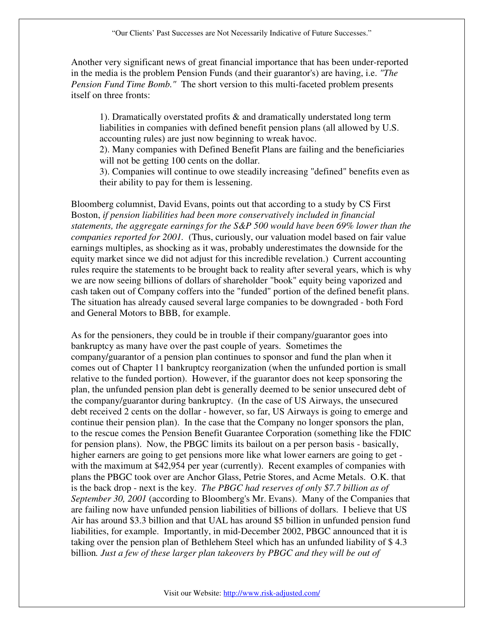Another very significant news of great financial importance that has been under-reported in the media is the problem Pension Funds (and their guarantor's) are having, i.e. *"The Pension Fund Time Bomb."* The short version to this multi-faceted problem presents itself on three fronts:

1). Dramatically overstated profits & and dramatically understated long term liabilities in companies with defined benefit pension plans (all allowed by U.S. accounting rules) are just now beginning to wreak havoc.

2). Many companies with Defined Benefit Plans are failing and the beneficiaries will not be getting 100 cents on the dollar.

3). Companies will continue to owe steadily increasing "defined" benefits even as their ability to pay for them is lessening.

Bloomberg columnist, David Evans, points out that according to a study by CS First Boston, *if pension liabilities had been more conservatively included in financial statements, the aggregate earnings for the S&P 500 would have been 69% lower than the companies reported for 2001.* (Thus, curiously, our valuation model based on fair value earnings multiples, as shocking as it was, probably underestimates the downside for the equity market since we did not adjust for this incredible revelation.) Current accounting rules require the statements to be brought back to reality after several years, which is why we are now seeing billions of dollars of shareholder "book" equity being vaporized and cash taken out of Company coffers into the "funded" portion of the defined benefit plans. The situation has already caused several large companies to be downgraded - both Ford and General Motors to BBB, for example.

As for the pensioners, they could be in trouble if their company/guarantor goes into bankruptcy as many have over the past couple of years. Sometimes the company/guarantor of a pension plan continues to sponsor and fund the plan when it comes out of Chapter 11 bankruptcy reorganization (when the unfunded portion is small relative to the funded portion). However, if the guarantor does not keep sponsoring the plan, the unfunded pension plan debt is generally deemed to be senior unsecured debt of the company/guarantor during bankruptcy. (In the case of US Airways, the unsecured debt received 2 cents on the dollar - however, so far, US Airways is going to emerge and continue their pension plan). In the case that the Company no longer sponsors the plan, to the rescue comes the Pension Benefit Guarantee Corporation (something like the FDIC for pension plans). Now, the PBGC limits its bailout on a per person basis - basically, higher earners are going to get pensions more like what lower earners are going to get with the maximum at \$42,954 per year (currently). Recent examples of companies with plans the PBGC took over are Anchor Glass, Petrie Stores, and Acme Metals. O.K. that is the back drop - next is the key. *The PBGC had reserves of only \$7.7 billion as of September 30, 2001* (according to Bloomberg's Mr. Evans). Many of the Companies that are failing now have unfunded pension liabilities of billions of dollars. I believe that US Air has around \$3.3 billion and that UAL has around \$5 billion in unfunded pension fund liabilities, for example. Importantly, in mid-December 2002, PBGC announced that it is taking over the pension plan of Bethlehem Steel which has an unfunded liability of \$ 4.3 billion. Just a few of these larger plan takeovers by PBGC and they will be out of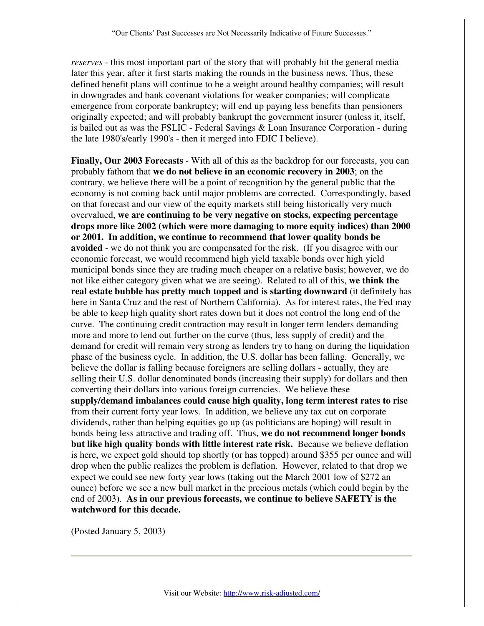*reserves* - this most important part of the story that will probably hit the general media later this year, after it first starts making the rounds in the business news. Thus, these defined benefit plans will continue to be a weight around healthy companies; will result in downgrades and bank covenant violations for weaker companies; will complicate emergence from corporate bankruptcy; will end up paying less benefits than pensioners originally expected; and will probably bankrupt the government insurer (unless it, itself, is bailed out as was the FSLIC - Federal Savings & Loan Insurance Corporation - during the late 1980's/early 1990's - then it merged into FDIC I believe).

**Finally, Our 2003 Forecasts** - With all of this as the backdrop for our forecasts, you can probably fathom that **we do not believe in an economic recovery in 2003**; on the contrary, we believe there will be a point of recognition by the general public that the economy is not coming back until major problems are corrected. Correspondingly, based on that forecast and our view of the equity markets still being historically very much overvalued, **we are continuing to be very negative on stocks, expecting percentage drops more like 2002 (which were more damaging to more equity indices) than 2000 or 2001. In addition, we continue to recommend that lower quality bonds be avoided** - we do not think you are compensated for the risk. (If you disagree with our economic forecast, we would recommend high yield taxable bonds over high yield municipal bonds since they are trading much cheaper on a relative basis; however, we do not like either category given what we are seeing). Related to all of this, **we think the real estate bubble has pretty much topped and is starting downward** (it definitely has here in Santa Cruz and the rest of Northern California). As for interest rates, the Fed may be able to keep high quality short rates down but it does not control the long end of the curve. The continuing credit contraction may result in longer term lenders demanding more and more to lend out further on the curve (thus, less supply of credit) and the demand for credit will remain very strong as lenders try to hang on during the liquidation phase of the business cycle. In addition, the U.S. dollar has been falling. Generally, we believe the dollar is falling because foreigners are selling dollars - actually, they are selling their U.S. dollar denominated bonds (increasing their supply) for dollars and then converting their dollars into various foreign currencies. We believe these **supply/demand imbalances could cause high quality, long term interest rates to rise** from their current forty year lows. In addition, we believe any tax cut on corporate dividends, rather than helping equities go up (as politicians are hoping) will result in bonds being less attractive and trading off. Thus, **we do not recommend longer bonds but like high quality bonds with little interest rate risk.** Because we believe deflation is here, we expect gold should top shortly (or has topped) around \$355 per ounce and will drop when the public realizes the problem is deflation. However, related to that drop we expect we could see new forty year lows (taking out the March 2001 low of \$272 an ounce) before we see a new bull market in the precious metals (which could begin by the end of 2003). **As in our previous forecasts, we continue to believe SAFETY is the watchword for this decade.**

(Posted January 5, 2003)